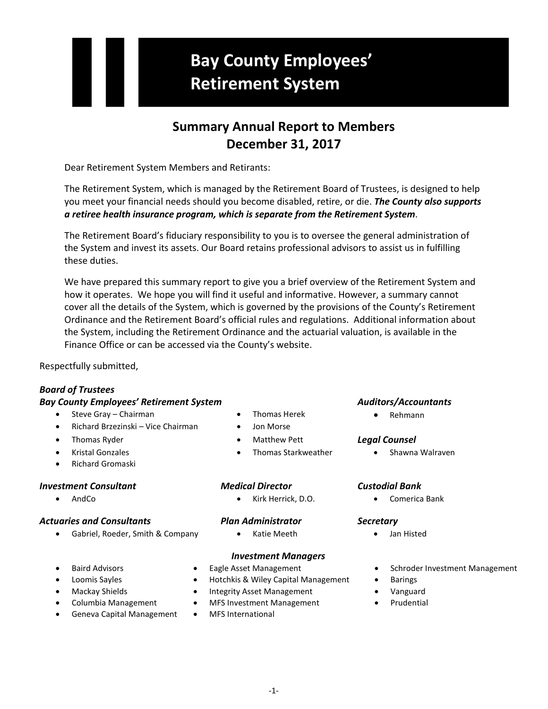# **Bay County Employees' Retirement System**

# **Summary Annual Report to Members December 31, 2017**

Dear Retirement System Members and Retirants:

The Retirement System, which is managed by the Retirement Board of Trustees, is designed to help you meet your financial needs should you become disabled, retire, or die. *The County also supports a retiree health insurance program, which is separate from the Retirement System*.

The Retirement Board's fiduciary responsibility to you is to oversee the general administration of the System and invest its assets. Our Board retains professional advisors to assist us in fulfilling these duties.

We have prepared this summary report to give you a brief overview of the Retirement System and how it operates. We hope you will find it useful and informative. However, a summary cannot cover all the details of the System, which is governed by the provisions of the County's Retirement Ordinance and the Retirement Board's official rules and regulations. Additional information about the System, including the Retirement Ordinance and the actuarial valuation, is available in the Finance Office or can be accessed via the County's website.

Respectfully submitted,

## *Board of Trustees*

## *Bay County Employees' Retirement System Auditors/Accountants*

- Steve Gray Chairman Thomas Herek Thomas Herek Rehmann
- Richard Brzezinski Vice Chairman Jon Morse
- 
- 
- Richard Gromaski

## *Investment Consultant Medical Director Custodial Bank*

## *Actuaries and Consultants Plan Administrator Secretary*

• Gabriel, Roeder, Smith & Company • Katie Meeth • Jan Histed

- 
- 
- Thomas Ryder Matthew Pett *Legal Counsel*
- Kristal Gonzales Thomas Starkweather Shawna Walraven

• AndCo • Kirk Herrick, D.O. • Comerica Bank

## *Investment Managers*

- 
- 
- 
- 
- Geneva Capital Management MFS International
- 
- Loomis Sayles Hotchkis & Wiley Capital Management Barings
- Mackay Shields Integrity Asset Management Vanguard
- Columbia Management MFS Investment Management Prudential
	-

- 
- Baird Advisors Eagle Asset Management Schroder Investment Management
	-
	-
	-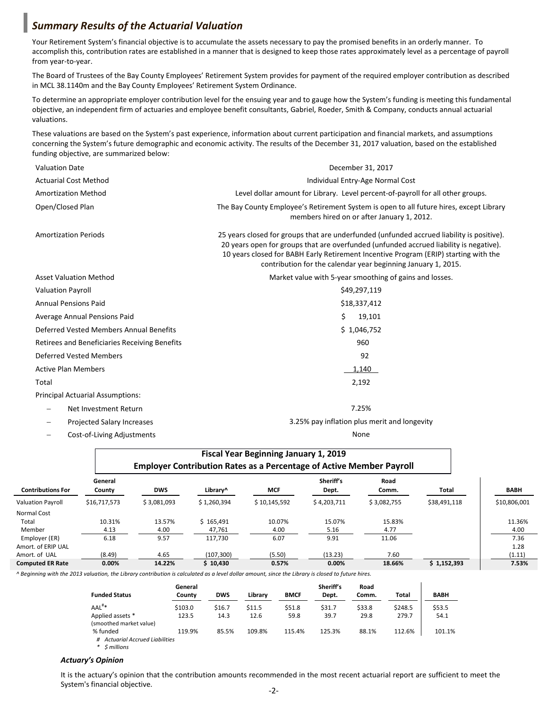## *Summary Results of the Actuarial Valuation*

Your Retirement System's financial objective is to accumulate the assets necessary to pay the promised benefits in an orderly manner. To accomplish this, contribution rates are established in a manner that is designed to keep those rates approximately level as a percentage of payroll from year-to-year.

The Board of Trustees of the Bay County Employees' Retirement System provides for payment of the required employer contribution as described in MCL 38.1140m and the Bay County Employees' Retirement System Ordinance.

To determine an appropriate employer contribution level for the ensuing year and to gauge how the System's funding is meeting this fundamental objective, an independent firm of actuaries and employee benefit consultants, Gabriel, Roeder, Smith & Company, conducts annual actuarial valuations.

These valuations are based on the System's past experience, information about current participation and financial markets, and assumptions concerning the System's future demographic and economic activity. The results of the December 31, 2017 valuation, based on the established funding objective, are summarized below:

| <b>Valuation Date</b>                         | December 31, 2017                                                                                                                                                                                                                                                                                                                            |  |  |  |  |
|-----------------------------------------------|----------------------------------------------------------------------------------------------------------------------------------------------------------------------------------------------------------------------------------------------------------------------------------------------------------------------------------------------|--|--|--|--|
| <b>Actuarial Cost Method</b>                  | Individual Entry-Age Normal Cost                                                                                                                                                                                                                                                                                                             |  |  |  |  |
| <b>Amortization Method</b>                    | Level dollar amount for Library. Level percent-of-payroll for all other groups.                                                                                                                                                                                                                                                              |  |  |  |  |
| Open/Closed Plan                              | The Bay County Employee's Retirement System is open to all future hires, except Library<br>members hired on or after January 1, 2012.                                                                                                                                                                                                        |  |  |  |  |
| <b>Amortization Periods</b>                   | 25 years closed for groups that are underfunded (unfunded accrued liability is positive).<br>20 years open for groups that are overfunded (unfunded accrued liability is negative).<br>10 years closed for BABH Early Retirement Incentive Program (ERIP) starting with the<br>contribution for the calendar year beginning January 1, 2015. |  |  |  |  |
| <b>Asset Valuation Method</b>                 | Market value with 5-year smoothing of gains and losses.                                                                                                                                                                                                                                                                                      |  |  |  |  |
| <b>Valuation Payroll</b>                      | \$49,297,119                                                                                                                                                                                                                                                                                                                                 |  |  |  |  |
| <b>Annual Pensions Paid</b>                   | \$18,337,412                                                                                                                                                                                                                                                                                                                                 |  |  |  |  |
| Average Annual Pensions Paid                  | Ś.<br>19,101                                                                                                                                                                                                                                                                                                                                 |  |  |  |  |
| Deferred Vested Members Annual Benefits       | \$1,046,752                                                                                                                                                                                                                                                                                                                                  |  |  |  |  |
| Retirees and Beneficiaries Receiving Benefits | 960                                                                                                                                                                                                                                                                                                                                          |  |  |  |  |
| Deferred Vested Members                       | 92                                                                                                                                                                                                                                                                                                                                           |  |  |  |  |
| <b>Active Plan Members</b>                    | 1,140                                                                                                                                                                                                                                                                                                                                        |  |  |  |  |
| Total                                         | 2,192                                                                                                                                                                                                                                                                                                                                        |  |  |  |  |
| <b>Principal Actuarial Assumptions:</b>       |                                                                                                                                                                                                                                                                                                                                              |  |  |  |  |
| Net Investment Return                         | 7.25%                                                                                                                                                                                                                                                                                                                                        |  |  |  |  |
| <b>Projected Salary Increases</b>             | 3.25% pay inflation plus merit and longevity                                                                                                                                                                                                                                                                                                 |  |  |  |  |

− Cost-of-Living Adjustments None

|                          |                                                                             |             |             | <b>Fiscal Year Beginning January 1, 2019</b> |                    |               |              |              |
|--------------------------|-----------------------------------------------------------------------------|-------------|-------------|----------------------------------------------|--------------------|---------------|--------------|--------------|
|                          | <b>Employer Contribution Rates as a Percentage of Active Member Payroll</b> |             |             |                                              |                    |               |              |              |
| <b>Contributions For</b> | General<br>County                                                           | <b>DWS</b>  | Library^    | <b>MCF</b>                                   | Sheriff's<br>Dept. | Road<br>Comm. | Total        | <b>BABH</b>  |
| <b>Valuation Payroll</b> | \$16,717,573                                                                | \$3,081,093 | \$1,260,394 | \$10,145,592                                 | \$4,203,711        | \$3,082,755   | \$38,491,118 | \$10,806,001 |
| Normal Cost              |                                                                             |             |             |                                              |                    |               |              |              |
| Total                    | 10.31%                                                                      | 13.57%      | \$165.491   | 10.07%                                       | 15.07%             | 15.83%        |              | 11.36%       |
| Member                   | 4.13                                                                        | 4.00        | 47,761      | 4.00                                         | 5.16               | 4.77          |              | 4.00         |
| Employer (ER)            | 6.18                                                                        | 9.57        | 117.730     | 6.07                                         | 9.91               | 11.06         |              | 7.36         |
| Amort. of ERIP UAL       |                                                                             |             |             |                                              |                    |               |              | 1.28         |
| Amort. of UAL            | (8.49)                                                                      | 4.65        | (107, 300)  | (5.50)                                       | (13.23)            | 7.60          |              | (1.11)       |
| <b>Computed ER Rate</b>  | 0.00%                                                                       | 14.22%      | \$10.430    | 0.57%                                        | 0.00%              | 18.66%        | \$1,152,393  | 7.53%        |

*^ Beginning with the 2013 valuation, the Library contribution is calculated as a level dollar amount, since the Library is closed to future hires.*

| <b>Funded Status</b>                             | General<br>County | <b>DWS</b> | Library | <b>BMCF</b> | Sheriff's<br>Dept. | Road<br>Comm. | Total   | <b>BABH</b> |
|--------------------------------------------------|-------------------|------------|---------|-------------|--------------------|---------------|---------|-------------|
| $AAL^{\#*}$                                      | \$103.0           | \$16.7     | \$11.5  | \$51.8      | \$31.7             | \$33.8        | \$248.5 | \$53.5      |
| Applied assets *<br>(smoothed market value)      | 123.5             | 14.3       | 12.6    | 59.8        | 39.7               | 29.8          | 279.7   | 54.1        |
| % funded<br><b>Actuarial Accrued Liabilities</b> | 119.9%            | 85.5%      | 109.8%  | 115.4%      | 125.3%             | 88.1%         | 112.6%  | 101.1%      |

*\* \$ millions*

### *Actuary's Opinion*

It is the actuary's opinion that the contribution amounts recommended in the most recent actuarial report are sufficient to meet the System's financial objective.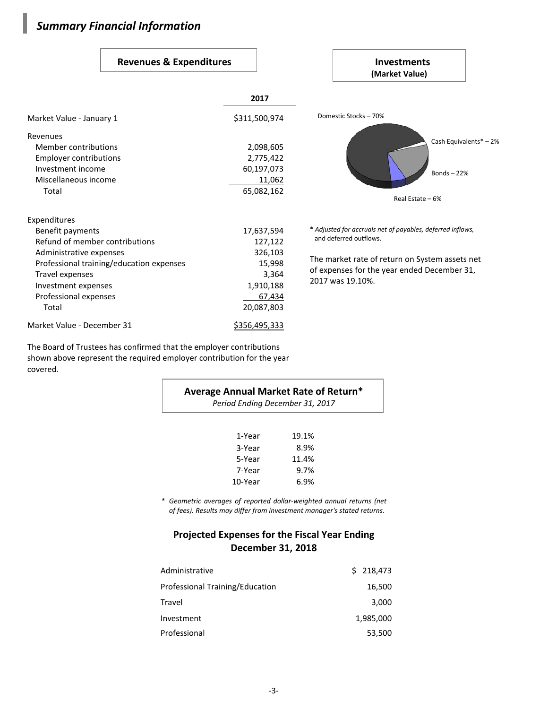# *Summary Financial Information*

I

## Revenues & Expenditures **Investments**

|                                          |                      | (Market Value)                                             |
|------------------------------------------|----------------------|------------------------------------------------------------|
|                                          | 2017                 |                                                            |
| Market Value - January 1                 | \$311,500,974        | Domestic Stocks - 70%                                      |
| Revenues                                 |                      |                                                            |
| Member contributions                     | 2,098,605            | Cash Equivalents* - 2%                                     |
| Employer contributions                   | 2,775,422            |                                                            |
| Investment income                        | 60,197,073           | Bonds $-22%$                                               |
| Miscellaneous income                     | 11,062               |                                                            |
| Total                                    | 65,082,162           | Real Estate - 6%                                           |
| Expenditures                             |                      |                                                            |
| Benefit payments                         | 17,637,594           | * Adjusted for accruals net of payables, deferred inflows, |
| Refund of member contributions           | 127,122              | and deferred outflows.                                     |
| Administrative expenses                  | 326,103              |                                                            |
| Professional training/education expenses | 15,998               | The market rate of return on System assets net             |
| Travel expenses                          | 3,364                | of expenses for the year ended December 31,                |
| Investment expenses                      | 1,910,188            | 2017 was 19.10%.                                           |
| Professional expenses                    | 67,434               |                                                            |
| Total                                    | 20,087,803           |                                                            |
| Market Value - December 31               | <u>\$356,495,333</u> |                                                            |

The Board of Trustees has confirmed that the employer contributions shown above represent the required employer contribution for the year covered.

| Average Annual Market Rate of Return*<br>Period Ending December 31, 2017 |       |  |  |  |
|--------------------------------------------------------------------------|-------|--|--|--|
| 1-Year                                                                   | 19.1% |  |  |  |
| 3-Year                                                                   | 8.9%  |  |  |  |
| 5-Year                                                                   | 11.4% |  |  |  |
| 7-Year                                                                   | 9.7%  |  |  |  |
| 10-Year                                                                  | 6.9%  |  |  |  |

*\* Geometric averages of reported dollar-weighted annual returns (net of fees). Results may differ from investment manager's stated returns.*

## **Projected Expenses for the Fiscal Year Ending December 31, 2018**

| Administrative                  | \$218,473 |
|---------------------------------|-----------|
| Professional Training/Education | 16,500    |
| Travel                          | 3,000     |
| Investment                      | 1,985,000 |
| Professional                    | 53,500    |